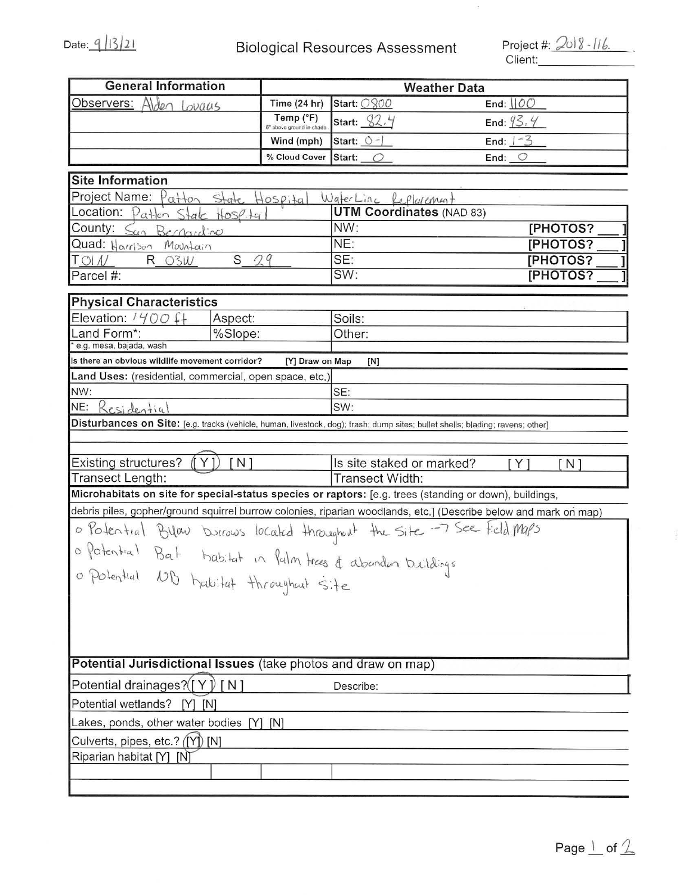## Date:  $\frac{q \mid |3| \cdot 2!}{\mid}$  Biological Resources Assessment

Client: \_\_\_\_\_\_ \_

 $\bar{a}$ 

| <b>General Information</b>                                                                                                     |                                       | <b>Weather Data</b>                               |                                                                                                                  |  |
|--------------------------------------------------------------------------------------------------------------------------------|---------------------------------------|---------------------------------------------------|------------------------------------------------------------------------------------------------------------------|--|
| Alden Lovaus<br>Observers:                                                                                                     | <b>Time (24 hr)</b>                   | Start: 0800                                       | End: $\underline{\text{IOO}}$                                                                                    |  |
|                                                                                                                                | Temp (°F)<br>6" above ground in shade | Start: $$2.4$                                     | End: $93.4$                                                                                                      |  |
|                                                                                                                                | Wind (mph)                            | Start: $\circ$ -                                  | End: $1-3$                                                                                                       |  |
|                                                                                                                                | % Cloud Cover                         | Start: $\bigcirc$                                 | End: $\bigcirc$                                                                                                  |  |
|                                                                                                                                |                                       |                                                   |                                                                                                                  |  |
| <b>Site Information</b>                                                                                                        |                                       |                                                   |                                                                                                                  |  |
| Project Name: Patton State Hospita                                                                                             |                                       | WaterLine Replacement                             |                                                                                                                  |  |
| Location: Patten State Hose.tg                                                                                                 |                                       | <b>UTM Coordinates (NAD 83)</b><br>NW:            |                                                                                                                  |  |
| County: San Bernardino                                                                                                         |                                       | NE:                                               | [PHOTOS?                                                                                                         |  |
| Quad: Harrison<br>Mountain<br>S                                                                                                |                                       | SE:                                               | [PHOTOS?<br><b>[PHOTOS?</b>                                                                                      |  |
| 29<br>$T$ OI $N$<br>R 03W<br>Parcel #:                                                                                         |                                       | SW:                                               | [PHOTOS?                                                                                                         |  |
|                                                                                                                                |                                       |                                                   |                                                                                                                  |  |
| <b>Physical Characteristics</b>                                                                                                |                                       |                                                   |                                                                                                                  |  |
| Elevation: $1400$ f+<br>Aspect:                                                                                                |                                       | Soils:                                            |                                                                                                                  |  |
| Land Form*:<br>%Slope:                                                                                                         |                                       | Other:                                            |                                                                                                                  |  |
| e.g. mesa, bajada, wash                                                                                                        |                                       |                                                   |                                                                                                                  |  |
| Is there an obvious wildlife movement corridor?                                                                                | [Y] Draw on Map                       | [N]                                               |                                                                                                                  |  |
| Land Uses: (residential, commercial, open space, etc.)                                                                         |                                       |                                                   |                                                                                                                  |  |
| NW:<br>NE:<br>Residential                                                                                                      |                                       | SE:<br>SW:                                        |                                                                                                                  |  |
| Disturbances on Site: [e.g. tracks (vehicle, human, livestock, dog); trash; dump sites; bullet shells; blading; ravens; other] |                                       |                                                   |                                                                                                                  |  |
|                                                                                                                                |                                       |                                                   |                                                                                                                  |  |
|                                                                                                                                |                                       |                                                   |                                                                                                                  |  |
| Existing structures?<br>[ N ]                                                                                                  |                                       | Is site staked or marked?<br>Y.<br>N <sub>1</sub> |                                                                                                                  |  |
| Transect Length:                                                                                                               |                                       | Transect Width:                                   |                                                                                                                  |  |
| Microhabitats on site for special-status species or raptors: [e.g. trees (standing or down), buildings,                        |                                       |                                                   |                                                                                                                  |  |
|                                                                                                                                |                                       |                                                   | debris piles, gopher/ground squirrel burrow colonies, riparian woodlands, etc.] (Describe below and mark on map) |  |
| o Potential Bulow burrows located throughout the site -7 See Field Maps                                                        |                                       |                                                   |                                                                                                                  |  |
| o Potential Bat habitat in Palm trees & abonden buildings                                                                      |                                       |                                                   |                                                                                                                  |  |
|                                                                                                                                |                                       |                                                   |                                                                                                                  |  |
| o Potential ND habitat throughout site                                                                                         |                                       |                                                   |                                                                                                                  |  |
|                                                                                                                                |                                       |                                                   |                                                                                                                  |  |
|                                                                                                                                |                                       |                                                   |                                                                                                                  |  |
|                                                                                                                                |                                       |                                                   |                                                                                                                  |  |
|                                                                                                                                |                                       |                                                   |                                                                                                                  |  |
| Potential Jurisdictional Issues (take photos and draw on map)                                                                  |                                       |                                                   |                                                                                                                  |  |
| Potential drainages? $([Y] [N]$<br>Describe:                                                                                   |                                       |                                                   |                                                                                                                  |  |
| Potential wetlands?<br>[N]<br>IY1                                                                                              |                                       |                                                   |                                                                                                                  |  |
| Lakes, ponds, other water bodies [Y] [N]                                                                                       |                                       |                                                   |                                                                                                                  |  |
| Culverts, pipes, etc.? ([Y]) [N]                                                                                               |                                       |                                                   |                                                                                                                  |  |
| Riparian habitat [Y] [N]                                                                                                       |                                       |                                                   |                                                                                                                  |  |
|                                                                                                                                |                                       |                                                   |                                                                                                                  |  |
|                                                                                                                                |                                       |                                                   |                                                                                                                  |  |

 $\frac{1}{2}$